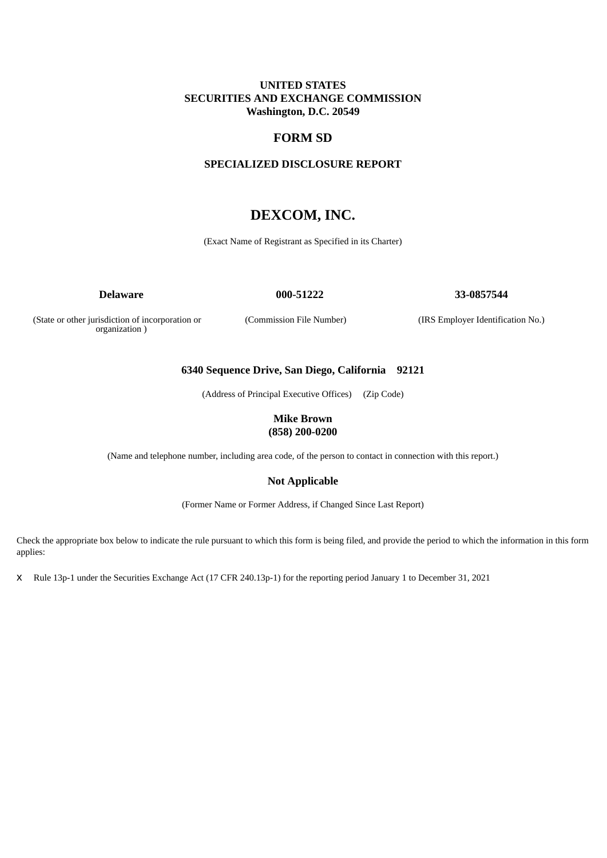## **UNITED STATES SECURITIES AND EXCHANGE COMMISSION Washington, D.C. 20549**

## **FORM SD**

## **SPECIALIZED DISCLOSURE REPORT**

# **DEXCOM, INC.**

(Exact Name of Registrant as Specified in its Charter)

**Delaware 000-51222 33-0857544**

(State or other jurisdiction of incorporation or organization )

(Commission File Number) (IRS Employer Identification No.)

## **6340 Sequence Drive, San Diego, California 92121**

(Address of Principal Executive Offices) (Zip Code)

## **Mike Brown (858) 200-0200**

(Name and telephone number, including area code, of the person to contact in connection with this report.)

## **Not Applicable**

(Former Name or Former Address, if Changed Since Last Report)

Check the appropriate box below to indicate the rule pursuant to which this form is being filed, and provide the period to which the information in this form applies:

x Rule 13p-1 under the Securities Exchange Act (17 CFR 240.13p-1) for the reporting period January 1 to December 31, 2021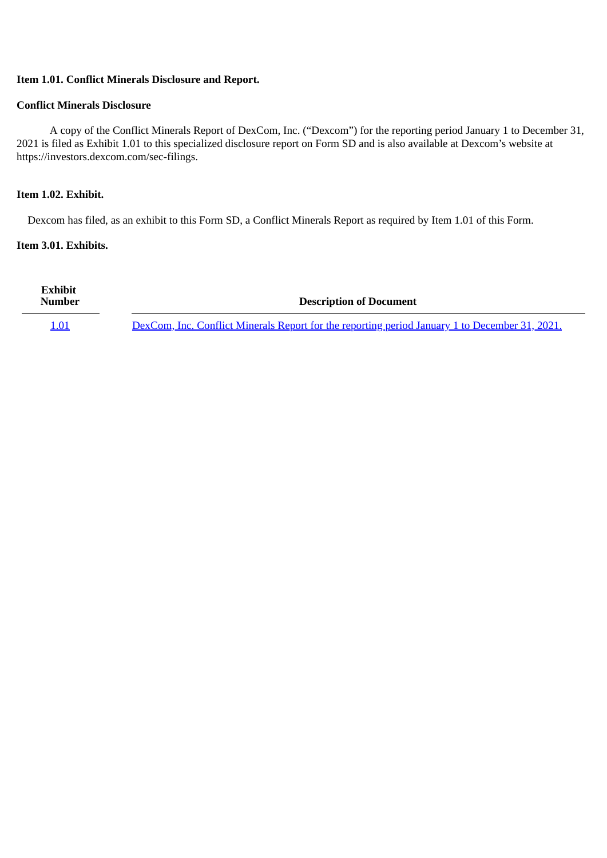## **Item 1.01. Conflict Minerals Disclosure and Report.**

## **Conflict Minerals Disclosure**

A copy of the Conflict Minerals Report of DexCom, Inc. ("Dexcom") for the reporting period January 1 to December 31, 2021 is filed as Exhibit 1.01 to this specialized disclosure report on Form SD and is also available at Dexcom's website at https://investors.dexcom.com/sec-filings.

## **Item 1.02. Exhibit.**

Dexcom has filed, as an exhibit to this Form SD, a Conflict Minerals Report as required by Item 1.01 of this Form.

## **Item 3.01. Exhibits.**

| Exhibit<br><b>Number</b> | <b>Description of Document</b>                                                                 |  |
|--------------------------|------------------------------------------------------------------------------------------------|--|
| 1.01                     | DexCom, Inc. Conflict Minerals Report for the reporting period January 1 to December 31, 2021. |  |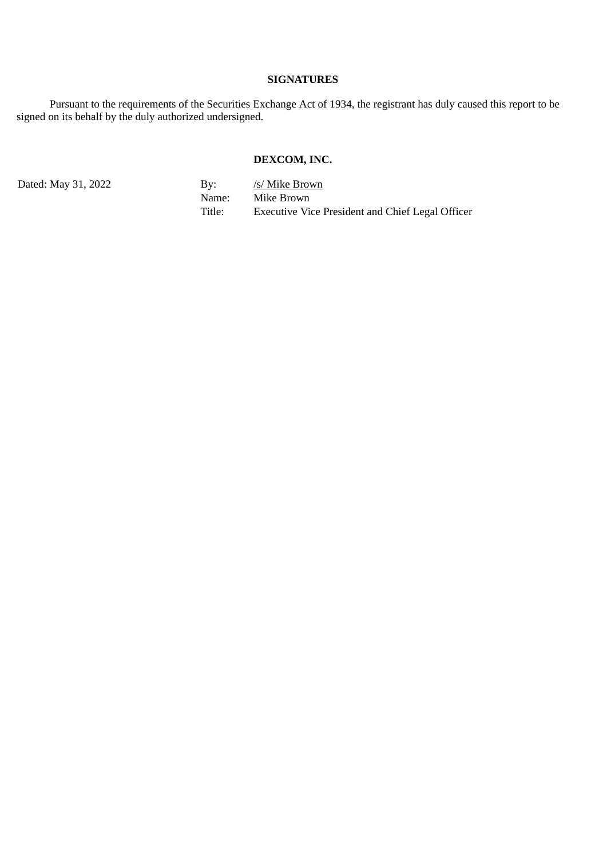## **SIGNATURES**

Pursuant to the requirements of the Securities Exchange Act of 1934, the registrant has duly caused this report to be signed on its behalf by the duly authorized undersigned.

# **DEXCOM, INC.**

Dated: May 31, 2022 By: */s/ Mike Brown* Name: Mike Brown<br>Title: Executive Vic Executive Vice President and Chief Legal Officer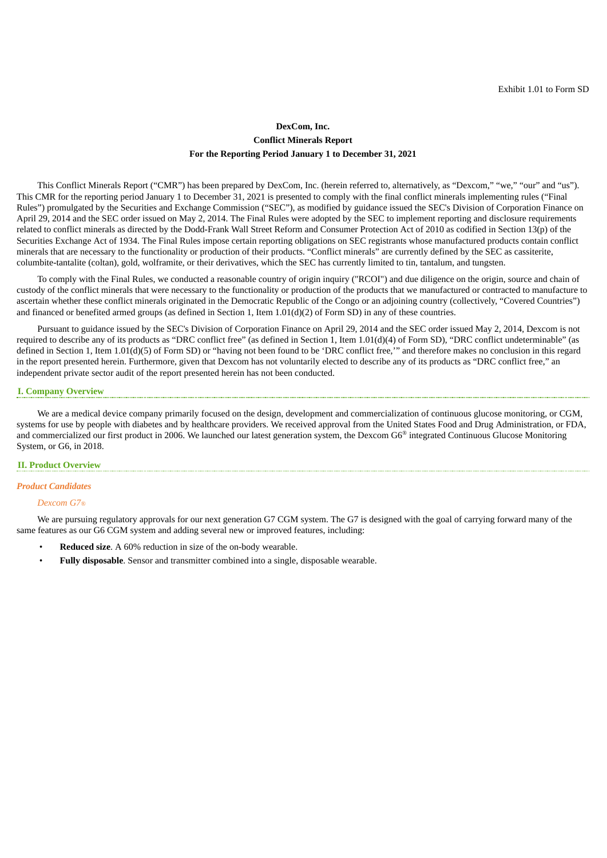## **DexCom, Inc. Conflict Minerals Report For the Reporting Period January 1 to December 31, 2021**

<span id="page-3-0"></span>This Conflict Minerals Report ("CMR") has been prepared by DexCom, Inc. (herein referred to, alternatively, as "Dexcom," "we," "our" and "us"). This CMR for the reporting period January 1 to December 31, 2021 is presented to comply with the final conflict minerals implementing rules ("Final Rules") promulgated by the Securities and Exchange Commission ("SEC"), as modified by guidance issued the SEC's Division of Corporation Finance on April 29, 2014 and the SEC order issued on May 2, 2014. The Final Rules were adopted by the SEC to implement reporting and disclosure requirements related to conflict minerals as directed by the Dodd-Frank Wall Street Reform and Consumer Protection Act of 2010 as codified in Section 13(p) of the Securities Exchange Act of 1934. The Final Rules impose certain reporting obligations on SEC registrants whose manufactured products contain conflict minerals that are necessary to the functionality or production of their products. "Conflict minerals" are currently defined by the SEC as cassiterite, columbite-tantalite (coltan), gold, wolframite, or their derivatives, which the SEC has currently limited to tin, tantalum, and tungsten.

To comply with the Final Rules, we conducted a reasonable country of origin inquiry ("RCOI") and due diligence on the origin, source and chain of custody of the conflict minerals that were necessary to the functionality or production of the products that we manufactured or contracted to manufacture to ascertain whether these conflict minerals originated in the Democratic Republic of the Congo or an adjoining country (collectively, "Covered Countries") and financed or benefited armed groups (as defined in Section 1, Item  $1.01(d)(2)$  of Form SD) in any of these countries.

Pursuant to guidance issued by the SEC's Division of Corporation Finance on April 29, 2014 and the SEC order issued May 2, 2014, Dexcom is not required to describe any of its products as "DRC conflict free" (as defined in Section 1, Item 1.01(d)(4) of Form SD), "DRC conflict undeterminable" (as defined in Section 1, Item 1.01(d)(5) of Form SD) or "having not been found to be 'DRC conflict free,'" and therefore makes no conclusion in this regard in the report presented herein. Furthermore, given that Dexcom has not voluntarily elected to describe any of its products as "DRC conflict free," an independent private sector audit of the report presented herein has not been conducted.

#### **I. Company Overview**

We are a medical device company primarily focused on the design, development and commercialization of continuous glucose monitoring, or CGM, systems for use by people with diabetes and by healthcare providers. We received approval from the United States Food and Drug Administration, or FDA, and commercialized our first product in 2006. We launched our latest generation system, the Dexcom G6<sup>®</sup> integrated Continuous Glucose Monitoring System, or G6, in 2018.

### **II. Product Overview**

### *Product Candidates*

#### *Dexcom G7®*

We are pursuing regulatory approvals for our next generation G7 CGM system. The G7 is designed with the goal of carrying forward many of the same features as our G6 CGM system and adding several new or improved features, including:

- **Reduced size**. A 60% reduction in size of the on-body wearable.
- **Fully disposable**. Sensor and transmitter combined into a single, disposable wearable.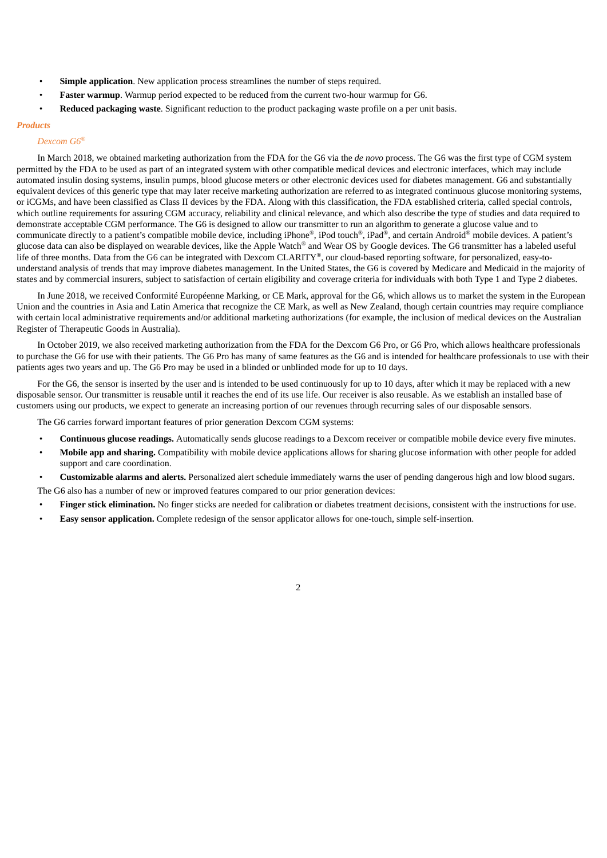- **Simple application**. New application process streamlines the number of steps required.
- **Faster warmup**. Warmup period expected to be reduced from the current two-hour warmup for G6.
- **Reduced packaging waste**. Significant reduction to the product packaging waste profile on a per unit basis.

### *Products*

#### *Dexcom G6 ®*

In March 2018, we obtained marketing authorization from the FDA for the G6 via the *de novo* process. The G6 was the first type of CGM system permitted by the FDA to be used as part of an integrated system with other compatible medical devices and electronic interfaces, which may include automated insulin dosing systems, insulin pumps, blood glucose meters or other electronic devices used for diabetes management. G6 and substantially equivalent devices of this generic type that may later receive marketing authorization are referred to as integrated continuous glucose monitoring systems, or iCGMs, and have been classified as Class II devices by the FDA. Along with this classification, the FDA established criteria, called special controls, which outline requirements for assuring CGM accuracy, reliability and clinical relevance, and which also describe the type of studies and data required to demonstrate acceptable CGM performance. The G6 is designed to allow our transmitter to run an algorithm to generate a glucose value and to communicate directly to a patient's compatible mobile device, including iPhone®, iPod touch®, iPad®, and certain Android® mobile devices. A patient's glucose data can also be displayed on wearable devices, like the Apple Watch® and Wear OS by Google devices. The G6 transmitter has a labeled useful life of three months. Data from the G6 can be integrated with Dexcom CLARITY®, our cloud-based reporting software, for personalized, easy-tounderstand analysis of trends that may improve diabetes management. In the United States, the G6 is covered by Medicare and Medicaid in the majority of states and by commercial insurers, subject to satisfaction of certain eligibility and coverage criteria for individuals with both Type 1 and Type 2 diabetes.

In June 2018, we received Conformité Européenne Marking, or CE Mark, approval for the G6, which allows us to market the system in the European Union and the countries in Asia and Latin America that recognize the CE Mark, as well as New Zealand, though certain countries may require compliance with certain local administrative requirements and/or additional marketing authorizations (for example, the inclusion of medical devices on the Australian Register of Therapeutic Goods in Australia).

In October 2019, we also received marketing authorization from the FDA for the Dexcom G6 Pro, or G6 Pro, which allows healthcare professionals to purchase the G6 for use with their patients. The G6 Pro has many of same features as the G6 and is intended for healthcare professionals to use with their patients ages two years and up. The G6 Pro may be used in a blinded or unblinded mode for up to 10 days.

For the G6, the sensor is inserted by the user and is intended to be used continuously for up to 10 days, after which it may be replaced with a new disposable sensor. Our transmitter is reusable until it reaches the end of its use life. Our receiver is also reusable. As we establish an installed base of customers using our products, we expect to generate an increasing portion of our revenues through recurring sales of our disposable sensors.

The G6 carries forward important features of prior generation Dexcom CGM systems:

- **Continuous glucose readings.** Automatically sends glucose readings to a Dexcom receiver or compatible mobile device every five minutes.
- **Mobile app and sharing.** Compatibility with mobile device applications allows for sharing glucose information with other people for added support and care coordination.
- **Customizable alarms and alerts.** Personalized alert schedule immediately warns the user of pending dangerous high and low blood sugars.

The G6 also has a number of new or improved features compared to our prior generation devices:

• **Finger stick elimination.** No finger sticks are needed for calibration or diabetes treatment decisions, consistent with the instructions for use.

 $\overline{2}$ 

• **Easy sensor application.** Complete redesign of the sensor applicator allows for one-touch, simple self-insertion.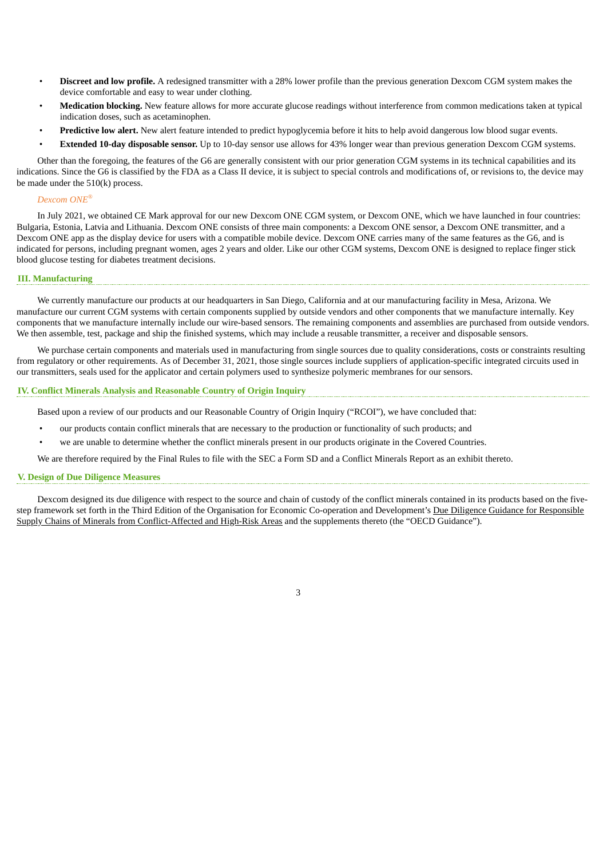- **Discreet and low profile.** A redesigned transmitter with a 28% lower profile than the previous generation Dexcom CGM system makes the device comfortable and easy to wear under clothing.
- **Medication blocking.** New feature allows for more accurate glucose readings without interference from common medications taken at typical indication doses, such as acetaminophen.
- **Predictive low alert.** New alert feature intended to predict hypoglycemia before it hits to help avoid dangerous low blood sugar events.
- **Extended 10-day disposable sensor.** Up to 10-day sensor use allows for 43% longer wear than previous generation Dexcom CGM systems.

Other than the foregoing, the features of the G6 are generally consistent with our prior generation CGM systems in its technical capabilities and its indications. Since the G6 is classified by the FDA as a Class II device, it is subject to special controls and modifications of, or revisions to, the device may be made under the 510(k) process.

#### *Dexcom ONE ®*

In July 2021, we obtained CE Mark approval for our new Dexcom ONE CGM system, or Dexcom ONE, which we have launched in four countries: Bulgaria, Estonia, Latvia and Lithuania. Dexcom ONE consists of three main components: a Dexcom ONE sensor, a Dexcom ONE transmitter, and a Dexcom ONE app as the display device for users with a compatible mobile device. Dexcom ONE carries many of the same features as the G6, and is indicated for persons, including pregnant women, ages 2 years and older. Like our other CGM systems, Dexcom ONE is designed to replace finger stick blood glucose testing for diabetes treatment decisions.

### **III. Manufacturing**

We currently manufacture our products at our headquarters in San Diego, California and at our manufacturing facility in Mesa, Arizona. We manufacture our current CGM systems with certain components supplied by outside vendors and other components that we manufacture internally. Key components that we manufacture internally include our wire-based sensors. The remaining components and assemblies are purchased from outside vendors. We then assemble, test, package and ship the finished systems, which may include a reusable transmitter, a receiver and disposable sensors.

We purchase certain components and materials used in manufacturing from single sources due to quality considerations, costs or constraints resulting from regulatory or other requirements. As of December 31, 2021, those single sources include suppliers of application-specific integrated circuits used in our transmitters, seals used for the applicator and certain polymers used to synthesize polymeric membranes for our sensors.

### **IV. Conflict Minerals Analysis and Reasonable Country of Origin Inquiry**

Based upon a review of our products and our Reasonable Country of Origin Inquiry ("RCOI"), we have concluded that:

- our products contain conflict minerals that are necessary to the production or functionality of such products; and
- we are unable to determine whether the conflict minerals present in our products originate in the Covered Countries.

We are therefore required by the Final Rules to file with the SEC a Form SD and a Conflict Minerals Report as an exhibit thereto.

#### **V. Design of Due Diligence Measures**

Dexcom designed its due diligence with respect to the source and chain of custody of the conflict minerals contained in its products based on the fivestep framework set forth in the Third Edition of the Organisation for Economic Co-operation and Development's Due Diligence Guidance for Responsible Supply Chains of Minerals from Conflict-Affected and High-Risk Areas and the supplements thereto (the "OECD Guidance").

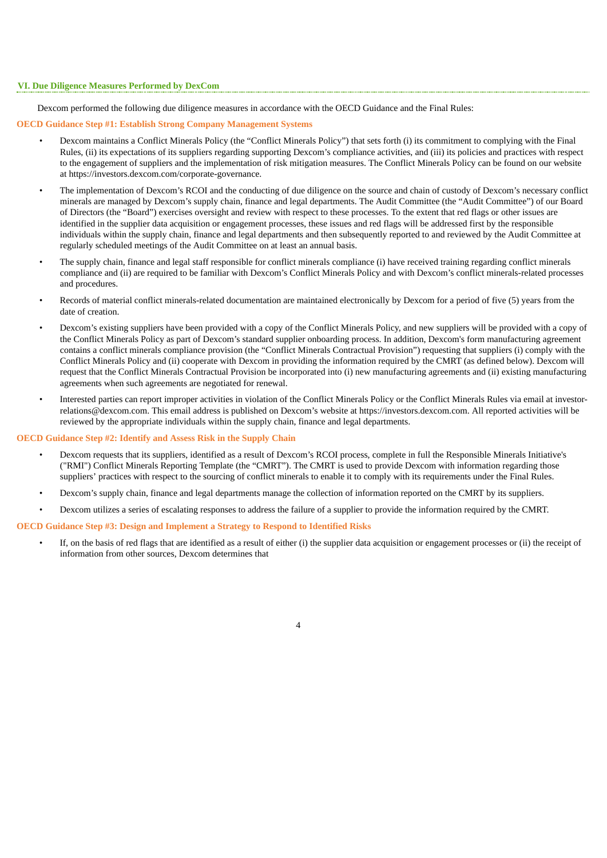#### **VI. Due Diligence Measures Performed by DexCom**

Dexcom performed the following due diligence measures in accordance with the OECD Guidance and the Final Rules:

### **OECD Guidance Step #1: Establish Strong Company Management Systems**

- Dexcom maintains a Conflict Minerals Policy (the "Conflict Minerals Policy") that sets forth (i) its commitment to complying with the Final Rules, (ii) its expectations of its suppliers regarding supporting Dexcom's compliance activities, and (iii) its policies and practices with respect to the engagement of suppliers and the implementation of risk mitigation measures. The Conflict Minerals Policy can be found on our website at https://investors.dexcom.com/corporate-governance.
- The implementation of Dexcom's RCOI and the conducting of due diligence on the source and chain of custody of Dexcom's necessary conflict minerals are managed by Dexcom's supply chain, finance and legal departments. The Audit Committee (the "Audit Committee") of our Board of Directors (the "Board") exercises oversight and review with respect to these processes. To the extent that red flags or other issues are identified in the supplier data acquisition or engagement processes, these issues and red flags will be addressed first by the responsible individuals within the supply chain, finance and legal departments and then subsequently reported to and reviewed by the Audit Committee at regularly scheduled meetings of the Audit Committee on at least an annual basis.
- The supply chain, finance and legal staff responsible for conflict minerals compliance (i) have received training regarding conflict minerals compliance and (ii) are required to be familiar with Dexcom's Conflict Minerals Policy and with Dexcom's conflict minerals-related processes and procedures.
- Records of material conflict minerals-related documentation are maintained electronically by Dexcom for a period of five (5) years from the date of creation.
- Dexcom's existing suppliers have been provided with a copy of the Conflict Minerals Policy, and new suppliers will be provided with a copy of the Conflict Minerals Policy as part of Dexcom's standard supplier onboarding process. In addition, Dexcom's form manufacturing agreement contains a conflict minerals compliance provision (the "Conflict Minerals Contractual Provision") requesting that suppliers (i) comply with the Conflict Minerals Policy and (ii) cooperate with Dexcom in providing the information required by the CMRT (as defined below). Dexcom will request that the Conflict Minerals Contractual Provision be incorporated into (i) new manufacturing agreements and (ii) existing manufacturing agreements when such agreements are negotiated for renewal.
- Interested parties can report improper activities in violation of the Conflict Minerals Policy or the Conflict Minerals Rules via email at investorrelations@dexcom.com. This email address is published on Dexcom's website at https://investors.dexcom.com. All reported activities will be reviewed by the appropriate individuals within the supply chain, finance and legal departments.

#### **OECD Guidance Step #2: Identify and Assess Risk in the Supply Chain**

- Dexcom requests that its suppliers, identified as a result of Dexcom's RCOI process, complete in full the Responsible Minerals Initiative's ("RMI") Conflict Minerals Reporting Template (the "CMRT"). The CMRT is used to provide Dexcom with information regarding those suppliers' practices with respect to the sourcing of conflict minerals to enable it to comply with its requirements under the Final Rules.
- Dexcom's supply chain, finance and legal departments manage the collection of information reported on the CMRT by its suppliers.
- Dexcom utilizes a series of escalating responses to address the failure of a supplier to provide the information required by the CMRT.

#### **OECD Guidance Step #3: Design and Implement a Strategy to Respond to Identified Risks**

• If, on the basis of red flags that are identified as a result of either (i) the supplier data acquisition or engagement processes or (ii) the receipt of information from other sources, Dexcom determines that

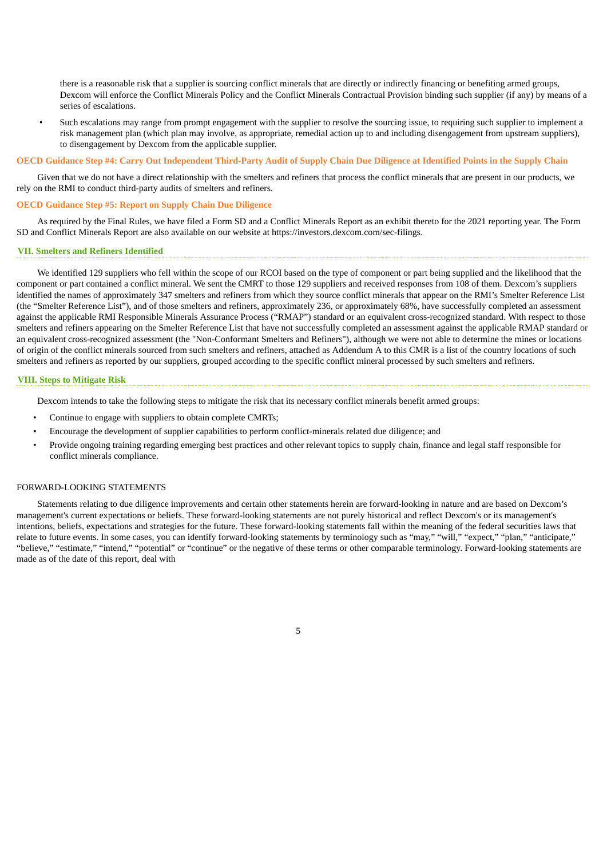there is a reasonable risk that a supplier is sourcing conflict minerals that are directly or indirectly financing or benefiting armed groups, Dexcom will enforce the Conflict Minerals Policy and the Conflict Minerals Contractual Provision binding such supplier (if any) by means of a series of escalations.

• Such escalations may range from prompt engagement with the supplier to resolve the sourcing issue, to requiring such supplier to implement a risk management plan (which plan may involve, as appropriate, remedial action up to and including disengagement from upstream suppliers), to disengagement by Dexcom from the applicable supplier.

#### OECD Guidance Step #4: Carry Out Independent Third-Party Audit of Supply Chain Due Diligence at Identified Points in the Supply Chain

Given that we do not have a direct relationship with the smelters and refiners that process the conflict minerals that are present in our products, we rely on the RMI to conduct third-party audits of smelters and refiners.

#### **OECD Guidance Step #5: Report on Supply Chain Due Diligence**

As required by the Final Rules, we have filed a Form SD and a Conflict Minerals Report as an exhibit thereto for the 2021 reporting year. The Form SD and Conflict Minerals Report are also available on our website at https://investors.dexcom.com/sec-filings.

### **VII. Smelters and Refiners Identified**

We identified 129 suppliers who fell within the scope of our RCOI based on the type of component or part being supplied and the likelihood that the component or part contained a conflict mineral. We sent the CMRT to those 129 suppliers and received responses from 108 of them. Dexcom's suppliers identified the names of approximately 347 smelters and refiners from which they source conflict minerals that appear on the RMI's Smelter Reference List (the "Smelter Reference List"), and of those smelters and refiners, approximately 236, or approximately 68%, have successfully completed an assessment against the applicable RMI Responsible Minerals Assurance Process ("RMAP") standard or an equivalent cross-recognized standard. With respect to those smelters and refiners appearing on the Smelter Reference List that have not successfully completed an assessment against the applicable RMAP standard or an equivalent cross-recognized assessment (the "Non-Conformant Smelters and Refiners"), although we were not able to determine the mines or locations of origin of the conflict minerals sourced from such smelters and refiners, attached as Addendum A to this CMR is a list of the country locations of such smelters and refiners as reported by our suppliers, grouped according to the specific conflict mineral processed by such smelters and refiners.

#### **VIII. Steps to Mitigate Risk**

Dexcom intends to take the following steps to mitigate the risk that its necessary conflict minerals benefit armed groups:

- Continue to engage with suppliers to obtain complete CMRTs;
- Encourage the development of supplier capabilities to perform conflict-minerals related due diligence; and
- Provide ongoing training regarding emerging best practices and other relevant topics to supply chain, finance and legal staff responsible for conflict minerals compliance.

#### FORWARD-LOOKING STATEMENTS

Statements relating to due diligence improvements and certain other statements herein are forward-looking in nature and are based on Dexcom's management's current expectations or beliefs. These forward-looking statements are not purely historical and reflect Dexcom's or its management's intentions, beliefs, expectations and strategies for the future. These forward-looking statements fall within the meaning of the federal securities laws that relate to future events. In some cases, you can identify forward-looking statements by terminology such as "may," "will," "expect," "plan," "anticipate," "believe," "estimate," "intend," "potential" or "continue" or the negative of these terms or other comparable terminology. Forward-looking statements are made as of the date of this report, deal with

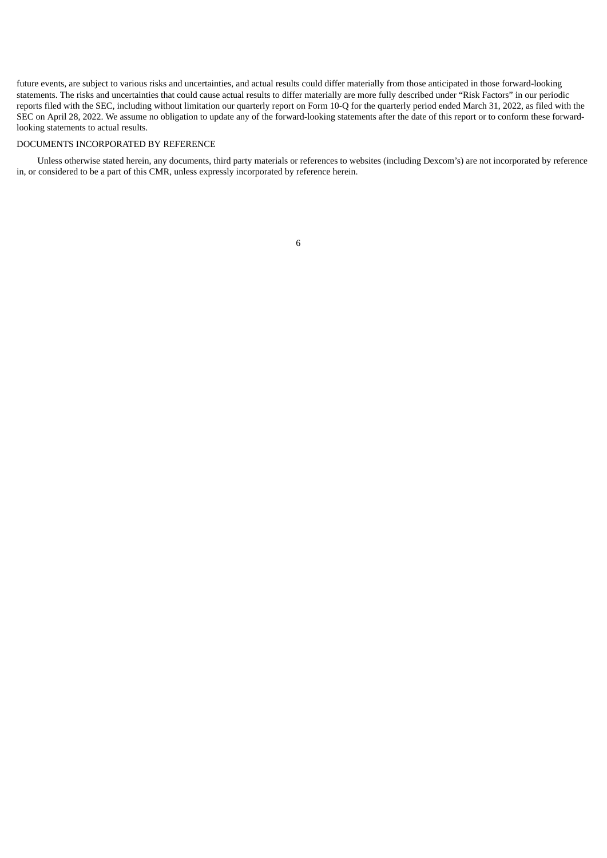future events, are subject to various risks and uncertainties, and actual results could differ materially from those anticipated in those forward-looking statements. The risks and uncertainties that could cause actual results to differ materially are more fully described under "Risk Factors" in our periodic reports filed with the SEC, including without limitation our quarterly report on Form 10-Q for the quarterly period ended March 31, 2022, as filed with the SEC on April 28, 2022. We assume no obligation to update any of the forward-looking statements after the date of this report or to conform these forwardlooking statements to actual results.

### DOCUMENTS INCORPORATED BY REFERENCE

Unless otherwise stated herein, any documents, third party materials or references to websites (including Dexcom's) are not incorporated by reference in, or considered to be a part of this CMR, unless expressly incorporated by reference herein.

6